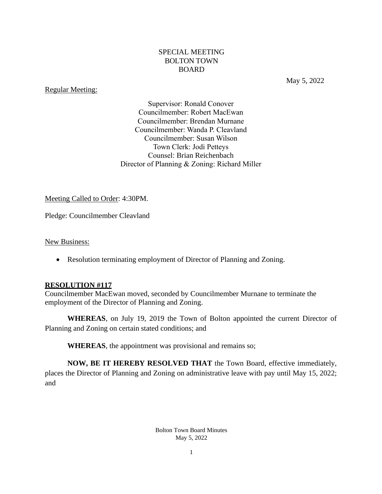## SPECIAL MEETING BOLTON TOWN BOARD

## Regular Meeting:

May 5, 2022

Supervisor: Ronald Conover Councilmember: Robert MacEwan Councilmember: Brendan Murnane Councilmember: Wanda P. Cleavland Councilmember: Susan Wilson Town Clerk: Jodi Petteys Counsel: Brian Reichenbach Director of Planning & Zoning: Richard Miller

### Meeting Called to Order: 4:30PM.

Pledge: Councilmember Cleavland

New Business:

• Resolution terminating employment of Director of Planning and Zoning.

#### **RESOLUTION #117**

Councilmember MacEwan moved, seconded by Councilmember Murnane to terminate the employment of the Director of Planning and Zoning.

**WHEREAS**, on July 19, 2019 the Town of Bolton appointed the current Director of Planning and Zoning on certain stated conditions; and

**WHEREAS**, the appointment was provisional and remains so;

**NOW, BE IT HEREBY RESOLVED THAT** the Town Board, effective immediately, places the Director of Planning and Zoning on administrative leave with pay until May 15, 2022; and

> Bolton Town Board Minutes May 5, 2022